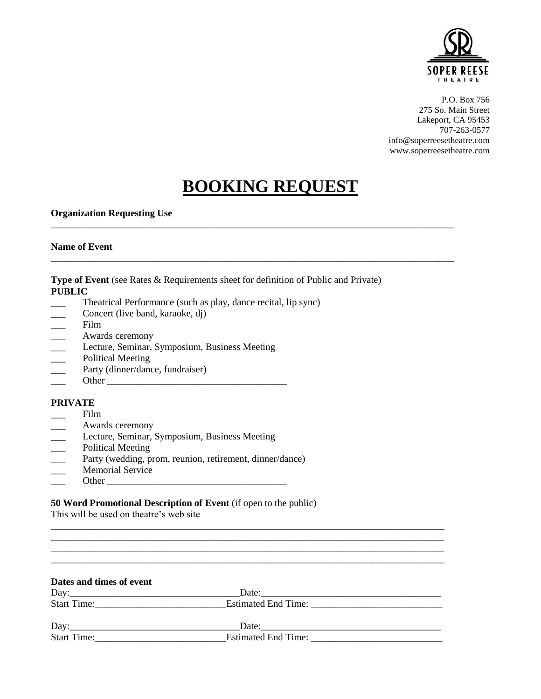

P.O. Box 756 275 So. Main Street Lakeport, CA 95453 707-263-0577 [info@soperreesetheatre.com](mailto:info@soperreesetheatre.com) [www.soperreesetheatre.com](http://www.soperreesetheatre.com/)

# **BOOKING REQUEST**

\_\_\_\_\_\_\_\_\_\_\_\_\_\_\_\_\_\_\_\_\_\_\_\_\_\_\_\_\_\_\_\_\_\_\_\_\_\_\_\_\_\_\_\_\_\_\_\_\_\_\_\_\_\_\_\_\_\_\_\_\_\_\_\_\_\_\_\_\_\_\_\_\_\_\_\_\_\_\_\_\_\_\_

\_\_\_\_\_\_\_\_\_\_\_\_\_\_\_\_\_\_\_\_\_\_\_\_\_\_\_\_\_\_\_\_\_\_\_\_\_\_\_\_\_\_\_\_\_\_\_\_\_\_\_\_\_\_\_\_\_\_\_\_\_\_\_\_\_\_\_\_\_\_\_\_\_\_\_\_\_\_\_\_\_\_\_

# **Organization Requesting Use**

# **Name of Event**

**Type of Event** (see Rates & Requirements sheet for definition of Public and Private) **PUBLIC**

- Theatrical Performance (such as play, dance recital, lip sync)
- Concert (live band, karaoke, dj)
- \_\_\_ Film
- \_\_\_ Awards ceremony
- Lecture, Seminar, Symposium, Business Meeting
- Political Meeting
- Party (dinner/dance, fundraiser)
- \_\_\_ Other \_\_\_\_\_\_\_\_\_\_\_\_\_\_\_\_\_\_\_\_\_\_\_\_\_\_\_\_\_\_\_\_\_\_\_\_\_

# **PRIVATE**

- Film
- Awards ceremony
- Lecture, Seminar, Symposium, Business Meeting
- \_\_\_ Political Meeting
- Party (wedding, prom, reunion, retirement, dinner/dance)
- Memorial Service
- \_\_\_ Other \_\_\_\_\_\_\_\_\_\_\_\_\_\_\_\_\_\_\_\_\_\_\_\_\_\_\_\_\_\_\_\_\_\_\_\_\_

# **50 Word Promotional Description of Event** (if open to the public)

This will be used on theatre's web site

| Dates and times of event |                                                                                                                                                                                                                                |  |
|--------------------------|--------------------------------------------------------------------------------------------------------------------------------------------------------------------------------------------------------------------------------|--|
|                          | Date:                                                                                                                                                                                                                          |  |
| Start Time:              |                                                                                                                                                                                                                                |  |
|                          | Date: the contract of the contract of the contract of the contract of the contract of the contract of the contract of the contract of the contract of the contract of the contract of the contract of the contract of the cont |  |
| <b>Start Time:</b>       |                                                                                                                                                                                                                                |  |

\_\_\_\_\_\_\_\_\_\_\_\_\_\_\_\_\_\_\_\_\_\_\_\_\_\_\_\_\_\_\_\_\_\_\_\_\_\_\_\_\_\_\_\_\_\_\_\_\_\_\_\_\_\_\_\_\_\_\_\_\_\_\_\_\_\_\_\_\_\_\_\_\_\_\_\_\_\_\_\_\_ \_\_\_\_\_\_\_\_\_\_\_\_\_\_\_\_\_\_\_\_\_\_\_\_\_\_\_\_\_\_\_\_\_\_\_\_\_\_\_\_\_\_\_\_\_\_\_\_\_\_\_\_\_\_\_\_\_\_\_\_\_\_\_\_\_\_\_\_\_\_\_\_\_\_\_\_\_\_\_\_\_ \_\_\_\_\_\_\_\_\_\_\_\_\_\_\_\_\_\_\_\_\_\_\_\_\_\_\_\_\_\_\_\_\_\_\_\_\_\_\_\_\_\_\_\_\_\_\_\_\_\_\_\_\_\_\_\_\_\_\_\_\_\_\_\_\_\_\_\_\_\_\_\_\_\_\_\_\_\_\_\_\_ \_\_\_\_\_\_\_\_\_\_\_\_\_\_\_\_\_\_\_\_\_\_\_\_\_\_\_\_\_\_\_\_\_\_\_\_\_\_\_\_\_\_\_\_\_\_\_\_\_\_\_\_\_\_\_\_\_\_\_\_\_\_\_\_\_\_\_\_\_\_\_\_\_\_\_\_\_\_\_\_\_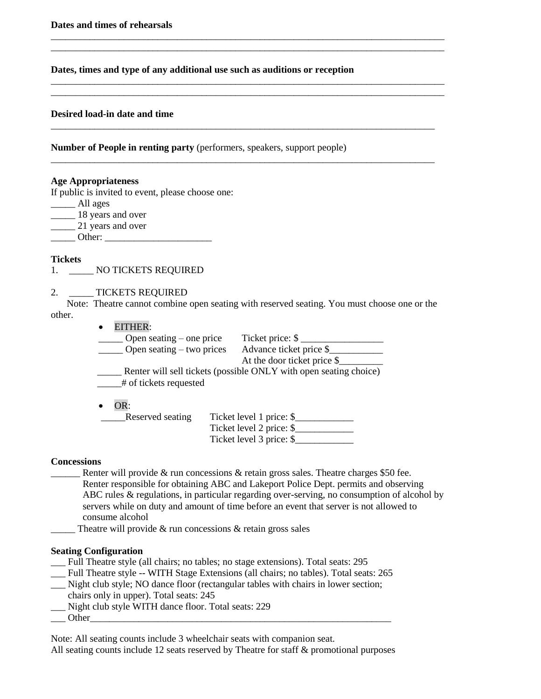**Dates, times and type of any additional use such as auditions or reception**

\_\_\_\_\_\_\_\_\_\_\_\_\_\_\_\_\_\_\_\_\_\_\_\_\_\_\_\_\_\_\_\_\_\_\_\_\_\_\_\_\_\_\_\_\_\_\_\_\_\_\_\_\_\_\_\_\_\_\_\_\_\_\_\_\_\_\_\_\_\_\_\_\_\_\_\_\_\_\_\_\_ \_\_\_\_\_\_\_\_\_\_\_\_\_\_\_\_\_\_\_\_\_\_\_\_\_\_\_\_\_\_\_\_\_\_\_\_\_\_\_\_\_\_\_\_\_\_\_\_\_\_\_\_\_\_\_\_\_\_\_\_\_\_\_\_\_\_\_\_\_\_\_\_\_\_\_\_\_\_\_\_\_

\_\_\_\_\_\_\_\_\_\_\_\_\_\_\_\_\_\_\_\_\_\_\_\_\_\_\_\_\_\_\_\_\_\_\_\_\_\_\_\_\_\_\_\_\_\_\_\_\_\_\_\_\_\_\_\_\_\_\_\_\_\_\_\_\_\_\_\_\_\_\_\_\_\_\_\_\_\_\_\_\_ \_\_\_\_\_\_\_\_\_\_\_\_\_\_\_\_\_\_\_\_\_\_\_\_\_\_\_\_\_\_\_\_\_\_\_\_\_\_\_\_\_\_\_\_\_\_\_\_\_\_\_\_\_\_\_\_\_\_\_\_\_\_\_\_\_\_\_\_\_\_\_\_\_\_\_\_\_\_\_\_\_

\_\_\_\_\_\_\_\_\_\_\_\_\_\_\_\_\_\_\_\_\_\_\_\_\_\_\_\_\_\_\_\_\_\_\_\_\_\_\_\_\_\_\_\_\_\_\_\_\_\_\_\_\_\_\_\_\_\_\_\_\_\_\_\_\_\_\_\_\_\_\_\_\_\_\_\_\_\_\_

\_\_\_\_\_\_\_\_\_\_\_\_\_\_\_\_\_\_\_\_\_\_\_\_\_\_\_\_\_\_\_\_\_\_\_\_\_\_\_\_\_\_\_\_\_\_\_\_\_\_\_\_\_\_\_\_\_\_\_\_\_\_\_\_\_\_\_\_\_\_\_\_\_\_\_\_\_\_\_

# **Desired load-in date and time**

**Number of People in renting party** (performers, speakers, support people)

#### **Age Appropriateness**

If public is invited to event, please choose one:

| All ages                 |
|--------------------------|
| 18 years and over        |
| 21 years and over        |
| $\bigcap_{\alpha=1}^{n}$ |

 $\frac{\text{Other:}}{\text{[left]}$ 

# **Tickets**

1. \_\_\_\_\_ NO TICKETS REQUIRED

# 2. TICKETS REQUIRED

Note: Theatre cannot combine open seating with reserved seating. You must choose one or the other.

| EITHER:                         |                                                                   |
|---------------------------------|-------------------------------------------------------------------|
| $\Box$ Open seating – one price | Ticket price: \$                                                  |
| Open seating – two prices       | Advance ticket price \$                                           |
|                                 | At the door ticket price \$                                       |
| # of tickets requested<br>OR:   | Renter will sell tickets (possible ONLY with open seating choice) |
| Reserved seating                | Ticket level 1 price: \$                                          |
|                                 | Ticket level 2 price: \$                                          |
|                                 | Ticket level 3 price: \$                                          |

# **Concessions**

Renter will provide & run concessions  $\&$  retain gross sales. Theatre charges \$50 fee. Renter responsible for obtaining ABC and Lakeport Police Dept. permits and observing ABC rules & regulations, in particular regarding over-serving, no consumption of alcohol by servers while on duty and amount of time before an event that server is not allowed to consume alcohol

Theatre will provide  $&$  run concessions  $&$  retain gross sales

#### **Seating Configuration**

\_\_\_ Full Theatre style (all chairs; no tables; no stage extensions). Total seats: 295

- \_\_\_ Full Theatre style -- WITH Stage Extensions (all chairs; no tables). Total seats: 265
- \_\_\_ Night club style; NO dance floor (rectangular tables with chairs in lower section;
- chairs only in upper). Total seats: 245
- \_\_\_ Night club style WITH dance floor. Total seats: 229 \_\_\_ Other\_\_\_\_\_\_\_\_\_\_\_\_\_\_\_\_\_\_\_\_\_\_\_\_\_\_\_\_\_\_\_\_\_\_\_\_\_\_\_\_\_\_\_\_\_\_\_\_\_\_\_\_\_\_\_\_\_\_\_\_\_\_
- 

Note: All seating counts include 3 wheelchair seats with companion seat.

All seating counts include 12 seats reserved by Theatre for staff & promotional purposes